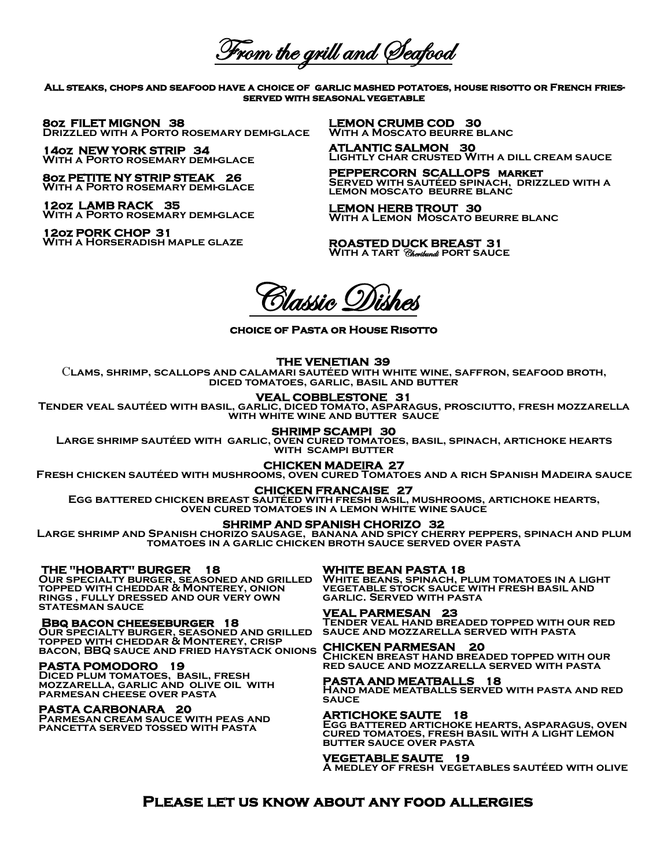From the grill and Seafood

**All steaks, chops and seafood have a choice of garlic mashed potatoes, house risotto or French friesserved with seasonal vegetable** 

**8oz FILET MIGNON 38 Drizzled with a Porto rosemary demi-glace** 

**14oz NEW YORK STRIP 34 With a Porto rosemary demi-glace** 

**8oz PETITE NY STRIP STEAK 26 WITH A PORTO ROSEMARY DEMI-GLACE** 

**12oz LAMB RACK 35 With a Porto rosemary demi-glace** 

**12oz PORK CHOP 31 With a Horseradish maple glaze** 

**LEMON CRUMB COD 30 With a Moscato beurre blanc**

**ATLANTIC SALMON 30 Lightly char crusted With a dill cream sauce**

**PEPPERCORN SCALLOPS market Served with sautéed spinach, drizzled with a lemon moscato beurre blanc**

**LEMON HERB TROUT 30** WITH A LEMON MOSCATO BEURRE BLANC

**ROASTED DUCK BREAST 31 With a tart** Cheribundi**port sauce** 

 $\delta$ lassic Oi

**choice of Pasta or House Risotto** 

#### **THE VENETIAN 39**

C**lams, shrimp, scallops and calamari sautéed with white wine, saffron, seafood broth, diced tomatoes, garlic, basil and butter** 

# **VEAL COBBLESTONE 31**

**Tender veal sautéed with basil, garlic, diced tomato, asparagus, prosciutto, fresh mozzarella with white wine and butter sauce**

## **SHRIMP SCAMPI 30**

**Large shrimp sautéed with garlic, oven cured tomatoes, basil, spinach, artichoke hearts with scampi butter** 

#### **CHICKEN MADEIRA 27**

**Fresh chicken sautéed with mushrooms, oven cured Tomatoes and a rich Spanish Madeira sauce**

#### **CHICKEN FRANCAISE 27**

**Egg battered chicken breast sautéed with fresh basil, mushrooms, artichoke hearts, oven cured tomatoes in a lemon white wine sauce** 

### **SHRIMP AND SPANISH CHORIZO 32**

**Large shrimp and Spanish chorizo sausage, banana and spicy cherry peppers, spinach and plum tomatoes in a garlic chicken broth sauce served over pasta** 

 **THE "HOBART" BURGER 18**

**Our specialty burger, seasoned and grilled topped with cheddar & Monterey, onion rings , fully dressed and our very own statesman sauce**

#### **Bbq bacon cheeseburger 18**

**Our specialty burger, seasoned and grilled topped with cheddar & Monterey, crisp**  TOPPED WITH CHEDDAR & MONTEREY, CRISP<br>BACON, BBQ SAUCE AND FRIED HAYSTACK ONIONS **CHICKEN PARMESAN 20** 

### **PASTA POMODORO 19**

**Diced plum tomatoes, basil, fresh mozzarella, garlic and olive oil with parmesan cheese over pasta** 

### **PASTA CARBONARA 20**

**Parmesan cream sauce with peas and pancetta served tossed with pasta** 

# **WHITE BEAN PASTA 18**

**White beans, spinach, plum tomatoes in a light vegetable stock sauce with fresh basil and garlic. Served with pasta**

# **VEAL PARMESAN 23**

**Tender veal hand breaded topped with our red sauce and mozzarella served with pasta**

**Chicken breast hand breaded topped with our red sauce and mozzarella served with pasta**

# **PASTA AND MEATBALLS 18**

**Hand made meatballs served with pasta and red sauce**

#### **ARTICHOKE SAUTE 18**

**Egg battered artichoke hearts, asparagus, oven cured tomatoes, fresh basil with a light lemon butter sauce over pasta**

#### **VEGETABLE SAUTE 19**

**A medley of fresh vegetables sautéed with olive** 

# **Please let us know about any food allergies**